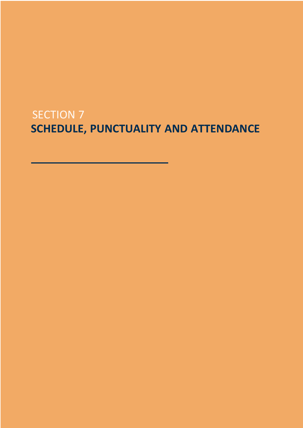# SECTION 7 **SCHEDULE, PUNCTUALITY AND ATTENDANCE**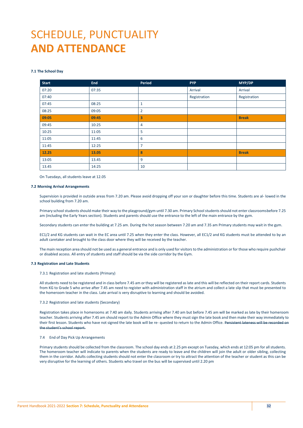# SCHEDULE, PUNCTUALITY **AND ATTENDANCE**

# **7.1 The School Day**

| <b>Start</b> | <b>End</b> | Period         | <b>PYP</b>   | MYP/DP       |
|--------------|------------|----------------|--------------|--------------|
| 07:20        | 07:35      |                | Arrival      | Arrival      |
| 07:40        |            |                | Registration | Registration |
| 07:45        | 08:25      | $\mathbf{1}$   |              |              |
| 08:25        | 09:05      | $\overline{2}$ |              |              |
| 09:05        | 09:45      | 3              |              | <b>Break</b> |
| 09:45        | 10:25      | 4              |              |              |
| 10:25        | 11:05      | 5              |              |              |
| 11:05        | 11:45      | 6              |              |              |
| 11:45        | 12:25      | $\overline{7}$ |              |              |
| 12.25        | 13.05      | 8              |              | <b>Break</b> |
| 13:05        | 13.45      | 9              |              |              |
| 13.45        | 14:25      | 10             |              |              |

On Tuesdays, all students leave at 12.05

### **7.2 Morning Arrival Arrangements**

Supervision is provided in outside areas from 7.20 am. Please avoid dropping off your son or daughter before this time. Students are al- lowed in the school building from 7.20 am.

Primary school students should make their way to the playground/gym until 7.30 am. Primary School students should not enter classroomsbefore 7.25 am (including the Early Years section). Students and parents should use the entrance to the left of the main entrance by the gym.

Secondary students can enter the building at 7.25 am. During the hot season between 7.20 am and 7.35 am Primary students may wait in the gym.

EC1/2 and KG students can wait in the EC area until 7.25 when they enter the class. However, all EC1/2 and KG students must be attended to by an adult caretaker and brought to the class door where they will be received by the teacher.

The main reception area should not be used as a general entrance and is only used for visitors to the administration or for those who require pushchair or disabled access. All entry of students and staff should be via the side corridor by the Gym.

## **7.3 Registration and Late Students**

7.3.1 Registration and late students (Primary)

All students need to be registered and in class before 7.45 am or they will be registered as late and this will be reflected on their report cards. Students from KG to Grade 5 who arrive after 7.45 am need to register with administration staff in the atrium and collect a late slip that must be presented to the homeroom teacher in the class. Late arrival is very disruptive to learning and should be avoided.

# 7.3.2 Registration and late students (Secondary)

Registration takes place in homerooms at 7.40 am daily. Students arriving after 7.40 am but before 7.45 am will be marked as late by their homeroom teacher. Students arriving after 7.45 am should report to the Admin Office where they must sign the late book and then make their way immediately to their first lesson. Students who have not signed the late book will be re- quested to return to the Admin Office. Persistent lateness will be recorded on the student's school report.

# 7.4 End of Day Pick Up Arrangements

Primary students should be collected from the classroom. The school day ends at 2.25 pm except on Tuesday, which ends at 12:05 pm for all students. The homeroom teacher will indicate to parents when the students are ready to leave and the children will join the adult or older sibling, collecting them in the corridor. Adults collecting students should not enter the classroom or try to attract the attention of the teacher or student as this can be very disruptive for the learning of others. Students who travel on the bus will be supervised until 2.20 pm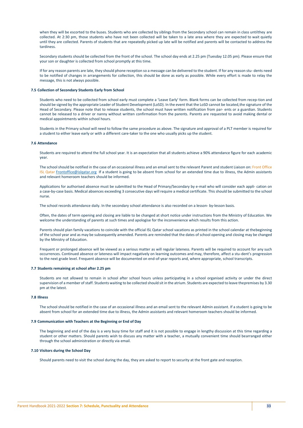when they will be escorted to the buses. Students who are collected by siblings from the Secondary school can remain in class untilthey are collected. At 2:30 pm, those students who have not been collected will be taken to a late area where they are expected to wait quietly until they are collected. Parents of students that are repeatedly picked up late will be notified and parents will be contacted to address the tardiness.

Secondary students should be collected from the front of the school. The school day ends at 2.25 pm (Tuesday 12.05 pm). Please ensure that your son or daughter is collected from school promptly at this time.

If for any reason parents are late, they should phone reception so a message can be delivered to the student. If for any reason stu- dents need to be notified of changes in arrangements for collection, this should be done as early as possible. While every effort is made to relay the message, this is not always possible.

#### **7.5 Collection of Secondary Students Early from School**

Students who need to be collected from school early must complete a 'Leave Early' form. Blank forms can be collected from recep-tion and should be signed by the appropriate Leader of Student Development (LoSD). In the event that the LoSD cannot be located,the signature of the Head of Secondary. Please note that to release students, the school must have written notification from par- ents or a guardian. Students cannot be released to a driver or nanny without written confirmation from the parents. Parents are requested to avoid making dental or medical appointments within school hours.

Students in the Primary school will need to follow the same procedure as above. The signature and approval of a PLT member is required for a student to either leave early or with a different care-taker to the one who usually picks up the student.

#### **7.6 Attendance**

Students are required to attend the full school year. It is an expectation that all students achieve a 90% attendance figure for each academic year.

The school should be notified in the case of an occasional illness and an email sent to the relevant Parent and student Liaison on: Front Office ISL Qatar Frontoffice@islgatar.org If a student is going to be absent from school for an extended time due to illness, the Admin assistants and relevant homeroom teachers should be informed.

Applications for authorised absence must be submitted to the Head of Primary/Secondary by e-mail who will consider each appli- cation on a case-by-case basis. Medical absences exceeding 3 consecutive days will require a medical certificate. This should be submitted to the school nurse.

The school records attendance daily. In the secondary school attendance is also recorded on a lesson- by-lesson basis.

Often, the dates of term opening and closing are liable to be changed at short notice under instructions from the Ministry of Education. We welcome the understanding of parents at such times and apologise for the inconvenience which results from this action.

Parents should plan family vacations to coincide with the official ISL Qatar school vacations as printed in the school calendar at thebeginning of the school year and as may be subsequently amended. Parents are reminded that the dates of school opening and closing may be changed by the Ministry of Education.

Frequent or prolonged absence will be viewed as a serious matter as will regular lateness. Parents will be required to account for any such occurrences. Continued absence or lateness will impact negatively on learning outcomes and may, therefore, affect a stu-dent's progression to the next grade level. Frequent absence will be documented on end-of-year reports and, where appropriate, school transcripts.

#### **7.7 Students remaining at school after 2.25 pm**

Students are not allowed to remain in school after school hours unless participating in a school organised activity or under the direct supervision of a member ofstaff. Students waiting to be collected should sit in the atrium. Students are expected to leave thepremises by 3.30 pm at the latest.

#### **7.8 Illness**

The school should be notified in the case of an occasional illness and an email sent to the relevant Admin assistant. If a student is going to be absent from school for an extended time due to illness, the Admin assistants and relevant homeroom teachers should be informed.

#### **7.9 Communication with Teachers at the Beginning or End of Day**

The beginning and end of the day is a very busy time for staff and it is not possible to engage in lengthy discussion at this time regarding a student or other matters. Should parents wish to discuss any matter with a teacher, a mutually convenient time should bearranged either through the school administration or directly via email.

#### **7.10 Visitors during the School Day**

Should parents need to visit the school during the day, they are asked to report to security at the front gate and reception.